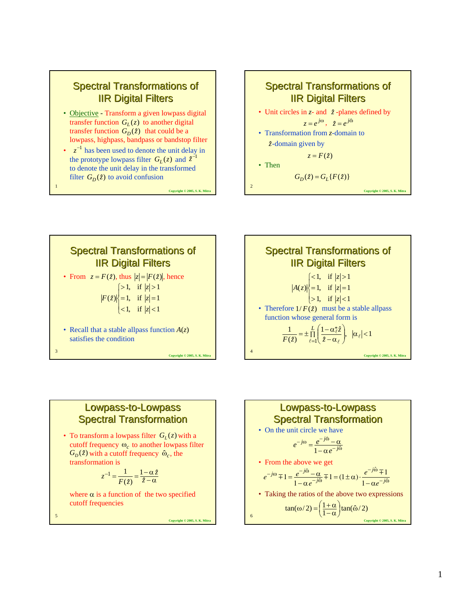#### **Spectral Transformations of IIR Digital Filters**

- Objective Transform a given lowpass digital transfer function  $G_L(z)$  to another digital transfer function  $G_D(z)$  that could be a lowpass, highpass, bandpass or bandstop filter
- $z^{-1}$  has been used to denote the unit delay in<br>the prototype lowpass filter  $G_L(z)$  and  $\hat{z}^{-1}$ the prototype lowpass filter  $G_L(z)$  and  $\hat{z}^{-1}$ to denote the unit delay in the transformed filter  $G_D(z)$  to avoid confusion

**Copyright © 2005, S. K. Mit** 







#### Lowpass-to-Lowpass **Spectral Transformation**

• To transform a lowpass filter  $G_L(z)$  with a cutoff frequency  $\omega_c$  to another lowpass filter  $G_D(z)$  with a cutoff frequency  $\omega_c$ , the transformation is

$$
z^{-1} = \frac{1}{F(\hat{z})} = \frac{1 - \alpha \hat{z}}{\hat{z} - \alpha}
$$

where  $\alpha$  is a function of the two specified cutoff frequencies

**Copyright © 2005, S. K. Mitra**

5

1

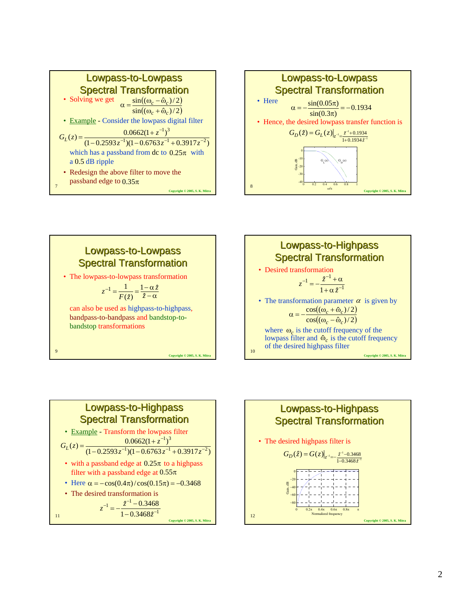









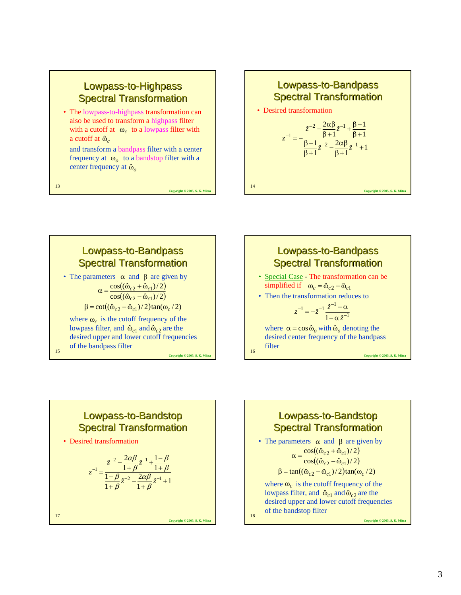## Lowpass-to-Highpass **Spectral Transformation**

• The lowpass-to-highpass transformation can also be used to transform a highpass filter with a cutoff at  $\omega_c$  to a lowpass filter with a cutoff at  $\hat{\omega}_c$ 

and transform a bandpass filter with a center frequency at  $\omega_o$  to a bandstop filter with a center frequency at  $\hat{\omega}_o$ 

Copyright © 2005, S. K. Mit

**Copyright © 2005, S. K. Mitra**







# Lowpass-to-Bandstop **Spectral Transformation**

• Desired transformation

$$
z^{-1} = \frac{z^{-2} - \frac{2\alpha\beta}{1+\beta}z^{-1} + \frac{1-\beta}{1+\beta}}{\frac{1-\beta}{1+\beta}z^{-2} - \frac{2\alpha\beta}{1+\beta}z^{-1} + 1}
$$

17

13

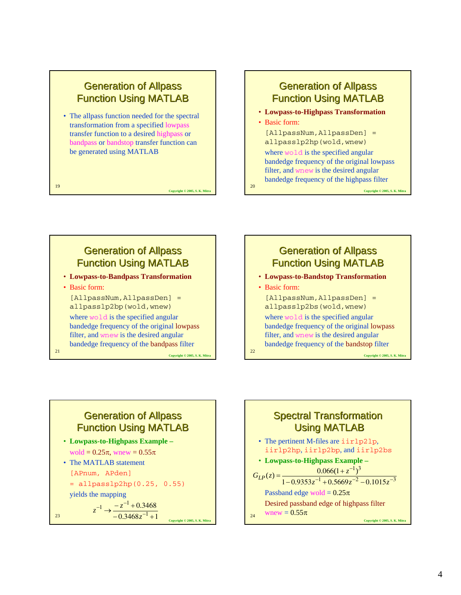#### **Generation of Allpass** Function Using MATLAB

• The allpass function needed for the spectral transformation from a specified lowpass transfer function to a desired highpass or bandpass or bandstop transfer function can be generated using MATLAB

19

21

**Copyright © 2005, S. K. Mitrabally** 

#### **Generation of Allpass** Function Using MATLAB

• **Lowpass-to-Highpass Transformation**

• Basic form:

20

22

[AllpassNum,AllpassDen] = allpasslp2hp(wold,wnew)

where wold is the specified angular bandedge frequency of the original lowpass filter, and wnew is the desired angular bandedge frequency of the highpass filter

**Copyright © 2005, S. K. Mi** 

## **Generation of Allpass** Function Using MATLAB

- **Lowpass-to-Bandpass Transformation**
- Basic form:

[AllpassNum,AllpassDen] = allpasslp2bp(wold,wnew)

where wold is the specified angular bandedge frequency of the original lowpass filter, and wnew is the desired angular bandedge frequency of the bandpass filter

**Copyright © 2005, S. K. Mitra**

**Copyright © 2005, S. K. Mitra**

## **Generation of Allpass** Function Using MATLAB

- **Lowpass-to-Bandstop Transformation**
- Basic form:

[AllpassNum,AllpassDen] = allpasslp2bs(wold,wnew)

where wold is the specified angular bandedge frequency of the original lowpass filter, and wnew is the desired angular bandedge frequency of the bandstop filter

**Copyright © 2005, S. K. Mit** 

## **Generation of Allpass** Function Using MATLAB

 $0.3468z^{-1}+1$ 

*z*

 $-0.3468z^{-1} +$ 

1

• **Lowpass-to-Highpass Example –** wold =  $0.25\pi$ , wnew =  $0.55\pi$ 

• The MATLAB statement

[APnum, APden]

= allpasslp2hp(0.25, 0.55)

yields the mapping

0.3468 1  $-z^{-1}$  $\rightarrow \frac{-z^{-1}+0.3}{0.3468z^{-1}}$  $-1$   $-z^{-}$  $z^{-1}$   $\rightarrow$   $\frac{-z^{-1}+0.}{-0.3468z}$ 

$$
23 \qquad \qquad
$$

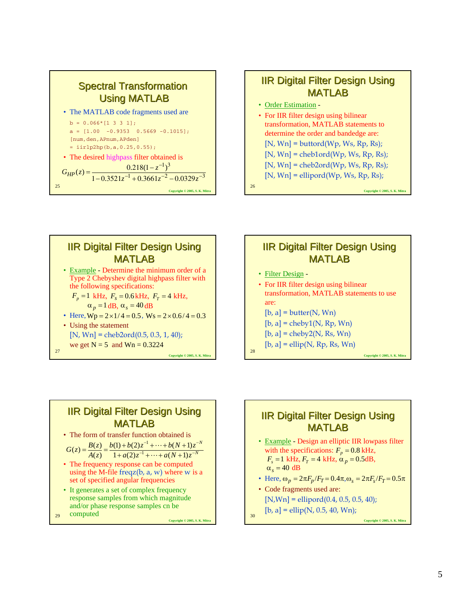





## **IIR Digital Filter Design Using MATLAB**

• Filter Design -

 $28$ 

30

- For IIR filter design using bilinear transformation, MATLAB statements to use are:  $[b, a] = butter(N, Wn)$  $[b, a] = \text{cheby1}(N, Rp, Wn)$
- $[b, a] = \text{cheby2(N, Rs, Wn)}$
- $[b, a] = ellipt(N, Rp, Rs, Wn)$

**Copyright © 2005, S. K. Mitra**

## **IIR Digital Filter Design Using** MATLAB

• The form of transfer function obtained is

$$
G(z) = \frac{B(z)}{A(z)} = \frac{b(1) + b(2)z^{-1} + \dots + b(N+1)z^{-N}}{1 + a(2)z^{-1} + \dots + a(N+1)z^{-N}}
$$

• The frequency response can be computed using the M-file freqz $(b, a, w)$  where w is a set of specified angular frequencies

**Copyright © 2005, S. K. Mitra**

- It generates a set of complex frequency response samples from which magnitude and/or phase response samples cn be
- 29 computed

**IIR Digital Filter Design Using** MATLAB

- Example Design an elliptic IIR lowpass filter with the specifications:  $F_p = 0.8$  kHz,  $F_s = 1 \text{ kHz}, F_T = 4 \text{ kHz}, \alpha_p = 0.5 \text{ dB},$  $\alpha_s = 40$  dB
- Here,  $\omega_p = 2\pi F_p / F_T = 0.4\pi, \omega_s = 2\pi F_s / F_T = 0.5\pi$
- Code fragments used are:  $[N, Wn] = ellipt of (0.4, 0.5, 0.5, 40);$
- $[b, a] = ellipt(N, 0.5, 40, Wn);$

**Copyright © 2005, S. K. Mitra**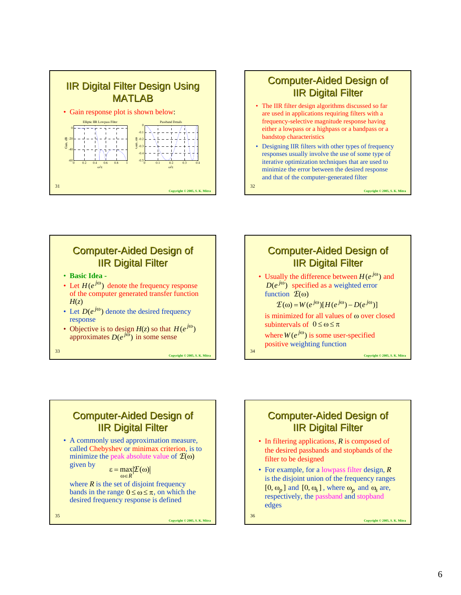



- The IIR filter design algorithms discussed so far are used in applications requiring filters with a frequency-selective magnitude response having either a lowpass or a highpass or a bandpass or a bandstop characteristics
- Designing IIR filters with other types of frequency responses usually involve the use of some type of iterative optimization techniques that are used to minimize the error between the desired response and that of the computer-generated filter

**Computer-Aided Design of IIR Digital Filter** • Usually the difference between  $H(e^{j\omega})$  and  $D(e^{j\omega})$  specified as a weighted error

is minimized for all values of ω over closed

 $\mathcal{F}(\omega) = W(e^{j\omega})[H(e^{j\omega}) - D(e^{j\omega})]$ 

where  $W(e^{j\omega})$  is some user-specified

**Copyright © 2005, S. K. Mitra**

**Copyright © 2005, S. K. Mitra**

32

## **Computer-Aided Design of IIR Digital Filter**

- **Basic Idea -**
- Let  $H(e^{j\omega})$  denote the frequency response of the computer generated transfer function  $H(z)$
- Let  $D(e^{j\omega})$  denote the desired frequency response
- Objective is to design  $H(z)$  so that  $H(e^{j\omega})$ approximates  $D(e^{j\omega})$  in some sense

**Copyright © 2005, S. K. Mitra**

**Copyright © 2005, S. K. Mitra**

33

#### **Computer-Aided Design of IIR Digital Filter**

• A commonly used approximation measure, called Chebyshev or minimax criterion, is to minimize the peak absolute value of  $\mathcal{E}(\omega)$ given by

$$
\varepsilon = \max_{\omega \in R} |\mathcal{E}(\omega)|
$$

where  $R$  is the set of disjoint frequency bands in the range  $0 \le \omega \le \pi$ , on which the desired frequency response is defined

35

**IIR Digital Filter** 

**Computer-Aided Design of** 

- In filtering applications, *R* is composed of the desired passbands and stopbands of the filter to be designed
- For example, for a lowpass filter design, *R* is the disjoint union of the frequency ranges  $[0, \omega_p]$  and  $[0, \omega_s]$ , where  $\omega_p$  and  $\omega_s$  are, respectively, the passband and stopband edges

36

 $34$ 

function  $\mathcal{E}(\omega)$ 

subintervals of  $0 \le \omega \le \pi$ 

positive weighting function

**Copyright © 2005, S. K. Mitra**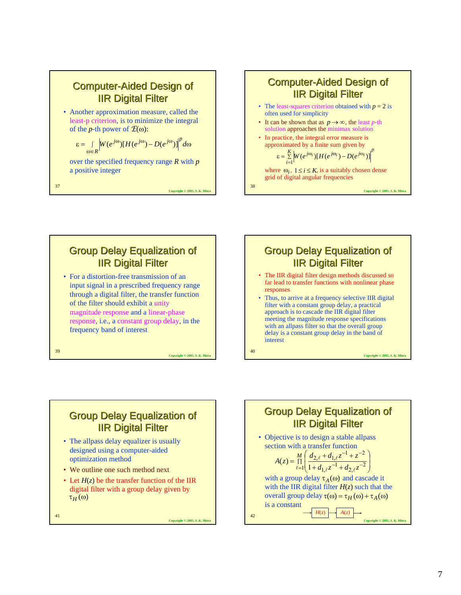

37

39



where  $\omega_i$ ,  $1 \le i \le K$ , is a suitably chosen dense grid of digital angular frequencies

**Copyright © 2005, S. K. Mitra**

**Copyright © 2005, S. K. Mitra**

# **Group Delay Equalization of IIR Digital Filter**

• For a distortion-free transmission of an input signal in a prescribed frequency range through a digital filter, the transfer function of the filter should exhibit a unity magnitude response and a linear-phase response, i.e., a constant group delay, in the frequency band of interest

**Copyright © 2005, S. K. Mitra**

**Copyright © 2005, S. K. Mitra**

38

40

# **Group Delay Equalization of IIR Digital Filter**

- The IIR digital filter design methods discussed so far lead to transfer functions with nonlinear phase responses
- Thus, to arrive at a frequency selective IIR digital filter with a constant group delay, a practical approach is to cascade the IIR digital filter meeting the magnitude response specifications with an allpass filter so that the overall group delay is a constant group delay in the band of interest

**Group Delay Equalization of IIR Digital Filter** 

- The allpass delay equalizer is usually designed using a computer-aided optimization method
- We outline one such method next
- Let  $H(z)$  be the transfer function of the IIR digital filter with a group delay given by τ*<sup>H</sup>* (ω)

41

**Copyright © 2005, S. K. Mitra**